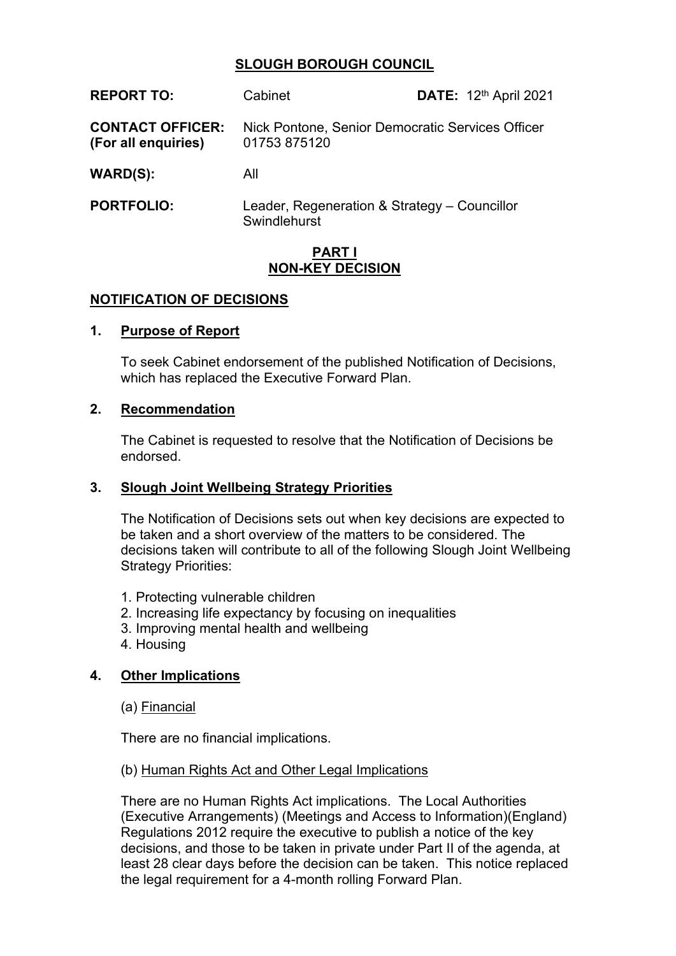# **SLOUGH BOROUGH COUNCIL**

| <b>REPORT TO:</b>                              | Cabinet                                                          | DATE: 12th April 2021 |
|------------------------------------------------|------------------------------------------------------------------|-----------------------|
| <b>CONTACT OFFICER:</b><br>(For all enquiries) | Nick Pontone, Senior Democratic Services Officer<br>01753 875120 |                       |
| WARD(S):                                       | All                                                              |                       |
| <b>PORTFOLIO:</b>                              | Leader, Regeneration & Strategy - Councillor<br>Swindlehurst     |                       |

## **PART I NON-KEY DECISION**

#### **NOTIFICATION OF DECISIONS**

### **1. Purpose of Report**

To seek Cabinet endorsement of the published Notification of Decisions, which has replaced the Executive Forward Plan.

### **2. Recommendation**

The Cabinet is requested to resolve that the Notification of Decisions be endorsed.

## **3. Slough Joint Wellbeing Strategy Priorities**

The Notification of Decisions sets out when key decisions are expected to be taken and a short overview of the matters to be considered. The decisions taken will contribute to all of the following Slough Joint Wellbeing Strategy Priorities:

- 1. Protecting vulnerable children
- 2. Increasing life expectancy by focusing on inequalities
- 3. Improving mental health and wellbeing
- 4. Housing

## **4. Other Implications**

(a) Financial

There are no financial implications.

#### (b) Human Rights Act and Other Legal Implications

There are no Human Rights Act implications. The Local Authorities (Executive Arrangements) (Meetings and Access to Information)(England) Regulations 2012 require the executive to publish a notice of the key decisions, and those to be taken in private under Part II of the agenda, at least 28 clear days before the decision can be taken. This notice replaced the legal requirement for a 4-month rolling Forward Plan.